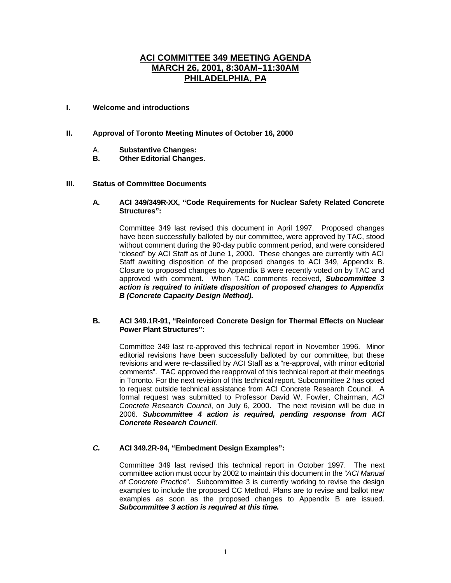# **ACI COMMITTEE 349 MEETING AGENDA MARCH 26, 2001, 8:30AM–11:30AM PHILADELPHIA, PA**

## **I. Welcome and introductions**

# **II. Approval of Toronto Meeting Minutes of October 16, 2000**

- A. **Substantive Changes:**
- *<u>Other Editorial Changes.</u>*

#### **III. Status of Committee Documents**

#### **A. ACI 349/349R-XX, "Code Requirements for Nuclear Safety Related Concrete Structures":**

Committee 349 last revised this document in April 1997. Proposed changes have been successfully balloted by our committee, were approved by TAC, stood without comment during the 90-day public comment period, and were considered "closed" by ACI Staff as of June 1, 2000. These changes are currently with ACI Staff awaiting disposition of the proposed changes to ACI 349, Appendix B. Closure to proposed changes to Appendix B were recently voted on by TAC and approved with comment. When TAC comments received, *Subcommittee 3 action is required to initiate disposition of proposed changes to Appendix B (Concrete Capacity Design Method).*

## **B. ACI 349.1R-91, "Reinforced Concrete Design for Thermal Effects on Nuclear Power Plant Structures":**

Committee 349 last re-approved this technical report in November 1996. Minor editorial revisions have been successfully balloted by our committee, but these revisions and were re-classified by ACI Staff as a "re-approval, with minor editorial comments". TAC approved the reapproval of this technical report at their meetings in Toronto. For the next revision of this technical report, Subcommittee 2 has opted to request outside technical assistance from ACI Concrete Research Council. A formal request was submitted to Professor David W. Fowler, Chairman, *ACI Concrete Research Council*, on July 6, 2000. The next revision will be due in 2006. *Subcommittee 4 action is required, pending response from ACI Concrete Research Council.*

#### *C.* **ACI 349.2R-94, "Embedment Design Examples":**

Committee 349 last revised this technical report in October 1997. The next committee action must occur by 2002 to maintain this document in the *"ACI Manual of Concrete Practice*". Subcommittee 3 is currently working to revise the design examples to include the proposed CC Method. Plans are to revise and ballot new examples as soon as the proposed changes to Appendix B are issued. *Subcommittee 3 action is required at this time.*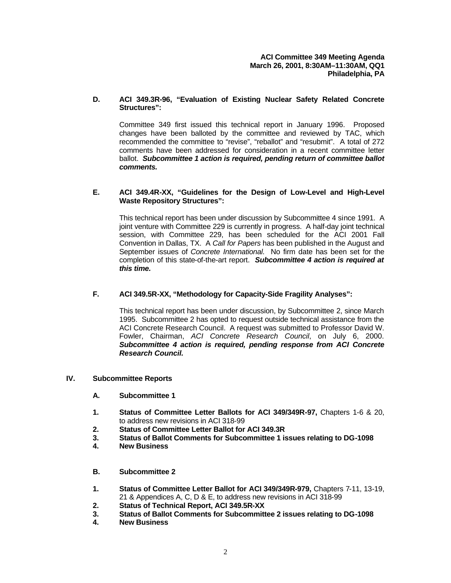## **D. ACI 349.3R-96, "Evaluation of Existing Nuclear Safety Related Concrete Structures":**

Committee 349 first issued this technical report in January 1996. Proposed changes have been balloted by the committee and reviewed by TAC, which recommended the committee to "revise", "reballot" and "resubmit". A total of 272 comments have been addressed for consideration in a recent committee letter ballot. *Subcommittee 1 action is required, pending return of committee ballot comments.*

### **E. ACI 349.4R-XX, "Guidelines for the Design of Low-Level and High-Level Waste Repository Structures":**

This technical report has been under discussion by Subcommittee 4 since 1991. A joint venture with Committee 229 is currently in progress. A half-day joint technical session, with Committee 229, has been scheduled for the ACI 2001 Fall Convention in Dallas, TX. A *Call for Papers* has been published in the August and September issues of *Concrete International*. No firm date has been set for the completion of this state-of-the-art report. *Subcommittee 4 action is required at this time.* 

# **F. ACI 349.5R-XX, "Methodology for Capacity-Side Fragility Analyses":**

This technical report has been under discussion, by Subcommittee 2, since March 1995. Subcommittee 2 has opted to request outside technical assistance from the ACI Concrete Research Council. A request was submitted to Professor David W. Fowler, Chairman, *ACI Concrete Research Council*, on July 6, 2000. *Subcommittee 4 action is required, pending response from ACI Concrete Research Council.*

#### **IV. Subcommittee Reports**

- **A. Subcommittee 1**
- **1. Status of Committee Letter Ballots for ACI 349/349R-97,** Chapters 1-6 & 20, to address new revisions in ACI 318-99
- **2. Status of Committee Letter Ballot for ACI 349.3R**
- **3. Status of Ballot Comments for Subcommittee 1 issues relating to DG-1098**
- **4. New Business**
- **B. Subcommittee 2**
- **1. Status of Committee Letter Ballot for ACI 349/349R-979,** Chapters 7-11, 13-19, 21 & Appendices A, C, D & E, to address new revisions in ACI 318-99
- **2. Status of Technical Report, ACI 349.5R-XX**
- **3. Status of Ballot Comments for Subcommittee 2 issues relating to DG-1098**
- **4. New Business**